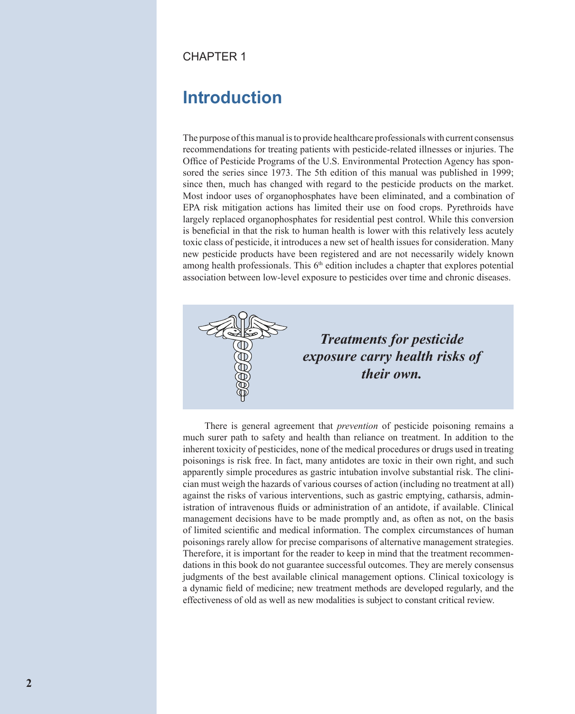#### CHAPTER 1

# **Introduction**

The purpose of this manual is to provide healthcare professionals with current consensus recommendations for treating patients with pesticide-related illnesses or injuries. The Office of Pesticide Programs of the U.S. Environmental Protection Agency has sponsored the series since 1973. The 5th edition of this manual was published in 1999; since then, much has changed with regard to the pesticide products on the market. Most indoor uses of organophosphates have been eliminated, and a combination of EPA risk mitigation actions has limited their use on food crops. Pyrethroids have largely replaced organophosphates for residential pest control. While this conversion is beneficial in that the risk to human health is lower with this relatively less acutely toxic class of pesticide, it introduces a new set of health issues for consideration. Many new pesticide products have been registered and are not necessarily widely known among health professionals. This  $6<sup>th</sup>$  edition includes a chapter that explores potential association between low-level exposure to pesticides over time and chronic diseases.



There is general agreement that *prevention* of pesticide poisoning remains a much surer path to safety and health than reliance on treatment. In addition to the inherent toxicity of pesticides, none of the medical procedures or drugs used in treating poisonings is risk free. In fact, many antidotes are toxic in their own right, and such apparently simple procedures as gastric intubation involve substantial risk. The clinician must weigh the hazards of various courses of action (including no treatment at all) against the risks of various interventions, such as gastric emptying, catharsis, administration of intravenous fluids or administration of an antidote, if available. Clinical management decisions have to be made promptly and, as often as not, on the basis of limited scientific and medical information. The complex circumstances of human poisonings rarely allow for precise comparisons of alternative management strategies. Therefore, it is important for the reader to keep in mind that the treatment recommendations in this book do not guarantee successful outcomes. They are merely consensus judgments of the best available clinical management options. Clinical toxicology is a dynamic field of medicine; new treatment methods are developed regularly, and the effectiveness of old as well as new modalities is subject to constant critical review.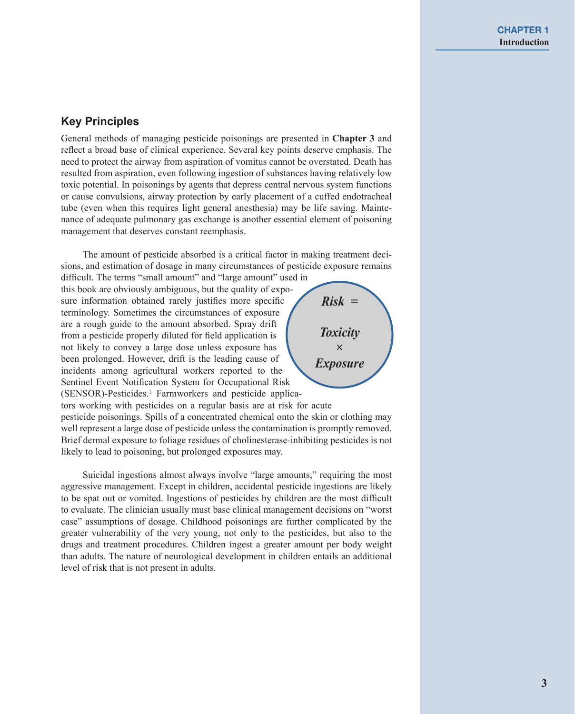### **Key Principles**

General methods of managing pesticide poisonings are presented in **Chapter 3** and reflect a broad base of clinical experience. Several key points deserve emphasis. The need to protect the airway from aspiration of vomitus cannot be overstated. Death has resulted from aspiration, even following ingestion of substances having relatively low toxic potential. In poisonings by agents that depress central nervous system functions or cause convulsions, airway protection by early placement of a cuffed endotracheal tube (even when this requires light general anesthesia) may be life saving. Maintenance of adequate pulmonary gas exchange is another essential element of poisoning management that deserves constant reemphasis.

The amount of pesticide absorbed is a critical factor in making treatment decisions, and estimation of dosage in many circumstances of pesticide exposure remains

difficult. The terms "small amount" and "large amount" used in this book are obviously ambiguous, but the quality of exposure information obtained rarely justifies more specific terminology. Sometimes the circumstances of exposure are a rough guide to the amount absorbed. Spray drift from a pesticide properly diluted for field application is not likely to convey a large dose unless exposure has been prolonged. However, drift is the leading cause of incidents among agricultural workers reported to the Sentinel Event Notification System for Occupational Risk (SENSOR)-Pesticides.<sup>1</sup> Farmworkers and pesticide applica-



tors working with pesticides on a regular basis are at risk for acute pesticide poisonings. Spills of a concentrated chemical onto the skin or clothing may well represent a large dose of pesticide unless the contamination is promptly removed. Brief dermal exposure to foliage residues of cholinesterase-inhibiting pesticides is not likely to lead to poisoning, but prolonged exposures may.

Suicidal ingestions almost always involve "large amounts," requiring the most aggressive management. Except in children, accidental pesticide ingestions are likely to be spat out or vomited. Ingestions of pesticides by children are the most difficult to evaluate. The clinician usually must base clinical management decisions on "worst case" assumptions of dosage. Childhood poisonings are further complicated by the greater vulnerability of the very young, not only to the pesticides, but also to the drugs and treatment procedures. Children ingest a greater amount per body weight than adults. The nature of neurological development in children entails an additional level of risk that is not present in adults.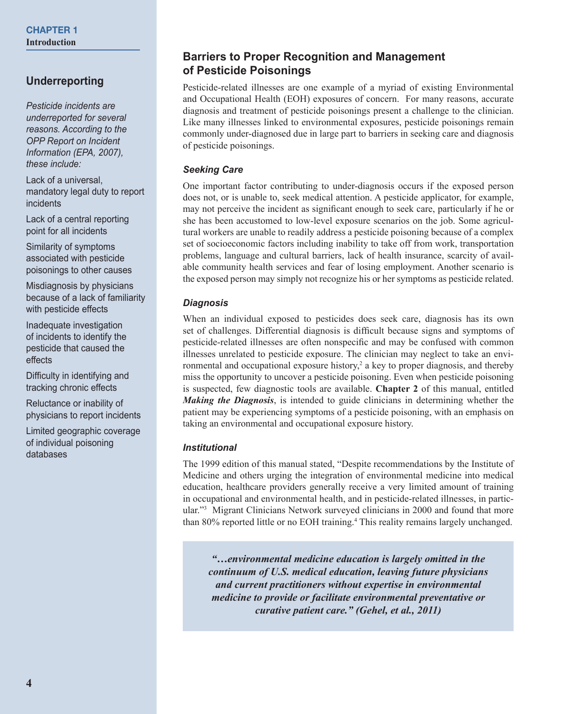## **Underreporting**

*Pesticide incidents are underreported for several reasons. According to the OPP Report on Incident Information (EPA, 2007), these include:*

Lack of a universal, mandatory legal duty to report incidents

Lack of a central reporting point for all incidents

Similarity of symptoms associated with pesticide poisonings to other causes

Misdiagnosis by physicians because of a lack of familiarity with pesticide effects

Inadequate investigation of incidents to identify the pesticide that caused the effects

Difficulty in identifying and tracking chronic effects

Reluctance or inability of physicians to report incidents

Limited geographic coverage of individual poisoning databases

### **Barriers to Proper Recognition and Management of Pesticide Poisonings**

Pesticide-related illnesses are one example of a myriad of existing Environmental and Occupational Health (EOH) exposures of concern. For many reasons, accurate diagnosis and treatment of pesticide poisonings present a challenge to the clinician. Like many illnesses linked to environmental exposures, pesticide poisonings remain commonly under-diagnosed due in large part to barriers in seeking care and diagnosis of pesticide poisonings.

#### *Seeking Care*

One important factor contributing to under-diagnosis occurs if the exposed person does not, or is unable to, seek medical attention. A pesticide applicator, for example, may not perceive the incident as significant enough to seek care, particularly if he or she has been accustomed to low-level exposure scenarios on the job. Some agricultural workers are unable to readily address a pesticide poisoning because of a complex set of socioeconomic factors including inability to take off from work, transportation problems, language and cultural barriers, lack of health insurance, scarcity of available community health services and fear of losing employment. Another scenario is the exposed person may simply not recognize his or her symptoms as pesticide related.

#### *Diagnosis*

When an individual exposed to pesticides does seek care, diagnosis has its own set of challenges. Differential diagnosis is difficult because signs and symptoms of pesticide-related illnesses are often nonspecific and may be confused with common illnesses unrelated to pesticide exposure. The clinician may neglect to take an environmental and occupational exposure history,<sup>2</sup> a key to proper diagnosis, and thereby miss the opportunity to uncover a pesticide poisoning. Even when pesticide poisoning is suspected, few diagnostic tools are available. **Chapter 2** of this manual, entitled *Making the Diagnosis*, is intended to guide clinicians in determining whether the patient may be experiencing symptoms of a pesticide poisoning, with an emphasis on taking an environmental and occupational exposure history.

#### *Institutional*

The 1999 edition of this manual stated, "Despite recommendations by the Institute of Medicine and others urging the integration of environmental medicine into medical education, healthcare providers generally receive a very limited amount of training in occupational and environmental health, and in pesticide-related illnesses, in particular."3 Migrant Clinicians Network surveyed clinicians in 2000 and found that more than 80% reported little or no EOH training.<sup>4</sup> This reality remains largely unchanged.

*"…environmental medicine education is largely omitted in the continuum of U.S. medical education, leaving future physicians and current practitioners without expertise in environmental medicine to provide or facilitate environmental preventative or curative patient care." (Gehel, et al., 2011)*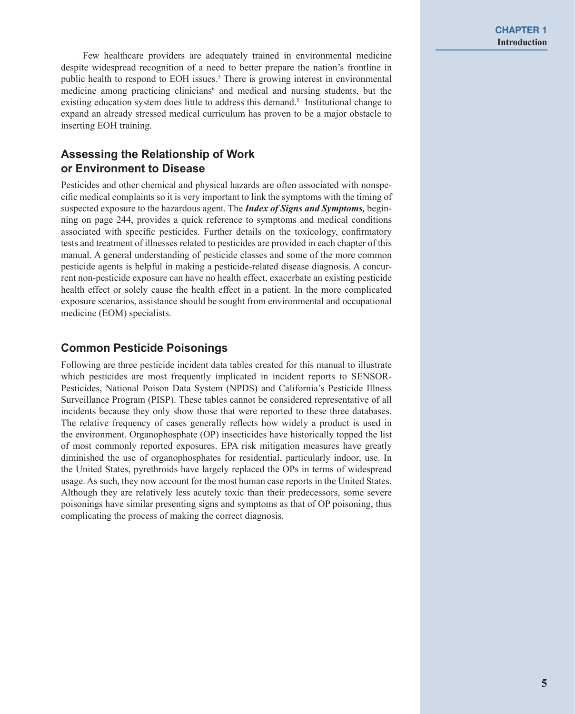Few healthcare providers are adequately trained in environmental medicine despite widespread recognition of a need to better prepare the nation's frontline in public health to respond to EOH issues.<sup>5</sup> There is growing interest in environmental medicine among practicing clinicians<sup>6</sup> and medical and nursing students, but the existing education system does little to address this demand.<sup>5</sup> Institutional change to expand an already stressed medical curriculum has proven to be a major obstacle to inserting EOH training.

# **Assessing the Relationship of Work or Environment to Disease**

Pesticides and other chemical and physical hazards are often associated with nonspecific medical complaints so it is very important to link the symptoms with the timing of suspected exposure to the hazardous agent. The *Index of Signs and Symptoms,* beginning on page 244, provides a quick reference to symptoms and medical conditions associated with specific pesticides. Further details on the toxicology, confirmatory tests and treatment of illnesses related to pesticides are provided in each chapter of this manual. A general understanding of pesticide classes and some of the more common pesticide agents is helpful in making a pesticide-related disease diagnosis. A concurrent non-pesticide exposure can have no health effect, exacerbate an existing pesticide health effect or solely cause the health effect in a patient. In the more complicated exposure scenarios, assistance should be sought from environmental and occupational medicine (EOM) specialists.

### **Common Pesticide Poisonings**

Following are three pesticide incident data tables created for this manual to illustrate which pesticides are most frequently implicated in incident reports to SENSOR-Pesticides, National Poison Data System (NPDS) and California's Pesticide Illness Surveillance Program (PISP). These tables cannot be considered representative of all incidents because they only show those that were reported to these three databases. The relative frequency of cases generally reflects how widely a product is used in the environment. Organophosphate (OP) insecticides have historically topped the list of most commonly reported exposures. EPA risk mitigation measures have greatly diminished the use of organophosphates for residential, particularly indoor, use. In the United States, pyrethroids have largely replaced the OPs in terms of widespread usage. As such, they now account for the most human case reports in the United States. Although they are relatively less acutely toxic than their predecessors, some severe poisonings have similar presenting signs and symptoms as that of OP poisoning, thus complicating the process of making the correct diagnosis.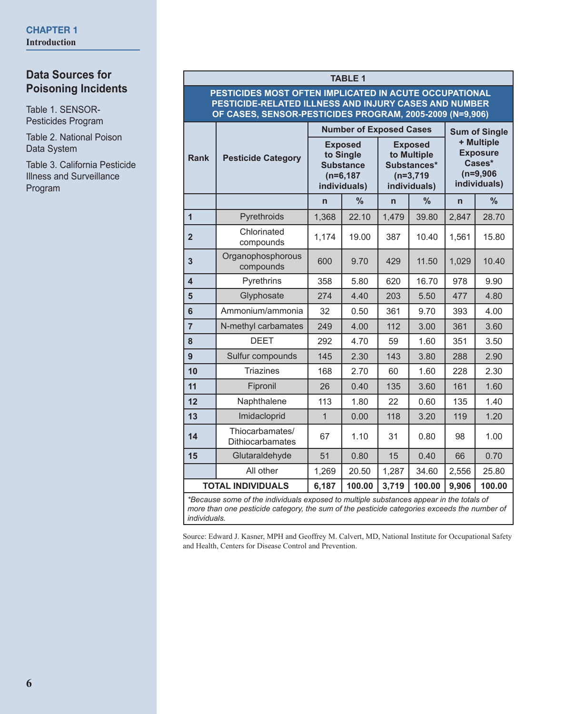### **Data Sources for Poisoning Incidents**

Table 1. SENSOR-Pesticides Program

Table 2. National Poison Data System

Table 3. California Pesticide Illness and Surveillance **Program** 

#### **TABLE 1 PESTICIDES MOST OFTEN IMPLICATED IN ACUTE OCCUPATIONAL PESTICIDE-RELATED ILLNESS AND INJURY CASES AND NUMBER OF CASES, SENSOR-PESTICIDES PROGRAM, 2005-2009 (N=9,906) Rank Pesticide Category Number of Exposed Cases | Sum of Single + Multiple Exposure Cases\* (n=9,906 individuals) Exposed to Single Substance (n=6,187 individuals) Exposed to Multiple Substances\* (n=3,719 individuals) n % n % n % 1** Pyrethroids 1,368 22.10 1,479 39.80 2,847 28.70 **<sup>2</sup>** Chlorinated Critorinated 1,174 19.00 387 10.40 1,561 15.80 **<sup>3</sup>** Organophosphorous  $\begin{array}{|c|c|c|c|c|c|c|c|c|} \hline \text{componuds} & \text{600} & 9.70 & 429 & 11.50 & 1,029 & 10.40 \hline \end{array}$ **4** | Pyrethrins | 358 | 5.80 | 620 | 16.70 | 978 | 9.90 **5** Glyphosate 274 4.40 203 5.50 477 4.80 **6** Ammonium/ammonia 32 0.50 361 9.70 393 4.00 **7** N-methyl carbamates 249 4.00 112 3.00 361 3.60 **8** | DEET | 292 | 4.70 | 59 | 1.60 | 351 | 3.50 **9** Sulfur compounds | 145 | 2.30 | 143 | 3.80 | 288 | 2.90 **10** | Triazines | 168 | 2.70 | 60 | 1.60 | 228 | 2.30 **11 Fipronil** | 26 | 0.40 | 135 | 3.60 | 161 | 1.60 **12** Naphthalene 113 1.80 22 0.60 135 1.40 **13** Imidacloprid 1 0.00 118 3.20 119 1.20 **<sup>14</sup>** Thiocarbamates/ Thiocarbamates | 67 | 1.10 | 31 | 0.80 | 98 | 1.00 **15** Glutaraldehyde 51 0.80 15 0.40 66 0.70 All other | 1,269 | 20.50 | 1,287 | 34.60 | 2,556 | 25.80 **TOTAL INDIVIDUALS 6,187 100.00 3,719 100.00 9,906 100.00**

*\*Because some of the individuals exposed to multiple substances appear in the totals of more than one pesticide category, the sum of the pesticide categories exceeds the number of individuals.*

Source: Edward J. Kasner, MPH and Geoffrey M. Calvert, MD, National Institute for Occupational Safety and Health, Centers for Disease Control and Prevention.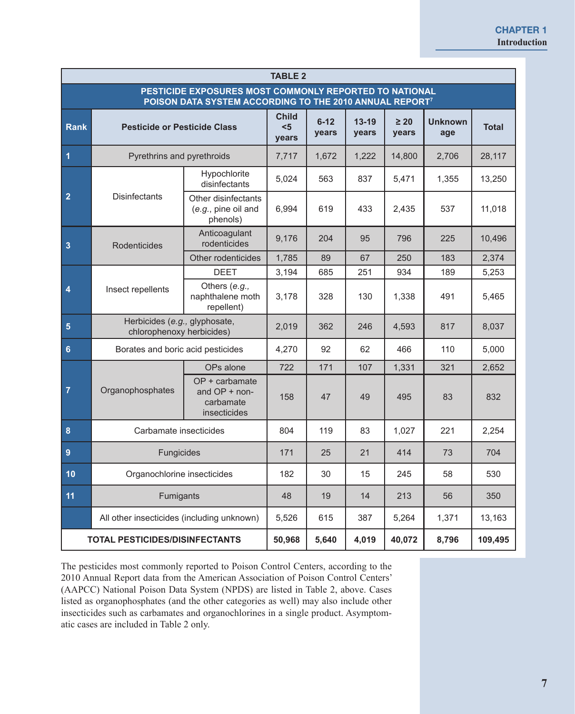| <b>TABLE 2</b>          |                                                                                                                               |                                                              |                              |                   |                    |                    |                                                            |              |  |  |  |  |
|-------------------------|-------------------------------------------------------------------------------------------------------------------------------|--------------------------------------------------------------|------------------------------|-------------------|--------------------|--------------------|------------------------------------------------------------|--------------|--|--|--|--|
|                         | PESTICIDE EXPOSURES MOST COMMONLY REPORTED TO NATIONAL<br>POISON DATA SYSTEM ACCORDING TO THE 2010 ANNUAL REPORT <sup>7</sup> |                                                              |                              |                   |                    |                    |                                                            |              |  |  |  |  |
| <b>Rank</b>             | <b>Pesticide or Pesticide Class</b>                                                                                           |                                                              | <b>Child</b><br>$5$<br>years | $6 - 12$<br>years | $13 - 19$<br>years | $\geq 20$<br>years | <b>Unknown</b><br>age                                      | <b>Total</b> |  |  |  |  |
| $\overline{\mathbf{1}}$ | Pyrethrins and pyrethroids                                                                                                    |                                                              | 7,717                        | 1,672             | 1,222              | 14,800             | 2,706                                                      | 28,117       |  |  |  |  |
|                         |                                                                                                                               | Hypochlorite<br>disinfectants                                | 5,024                        | 563               | 837                | 5,471              | 1,355                                                      | 13,250       |  |  |  |  |
| $\overline{2}$          | Disinfectants                                                                                                                 | Other disinfectants<br>(e.g., pine oil and<br>phenols)       | 6,994                        | 619               | 433                | 2,435              | 537                                                        | 11,018       |  |  |  |  |
| $\overline{\mathbf{3}}$ | Rodenticides                                                                                                                  | Anticoagulant<br>rodenticides                                | 9,176                        | 204               | 95                 | 796                | 225                                                        | 10,496       |  |  |  |  |
|                         |                                                                                                                               | Other rodenticides                                           | 1,785                        | 89                | 67                 | 250                | 183                                                        | 2,374        |  |  |  |  |
|                         |                                                                                                                               | <b>DEET</b>                                                  | 3,194                        | 685               | 251                | 934                | 189<br>491<br>817<br>466<br>110<br>321<br>495<br>83<br>221 | 5,253        |  |  |  |  |
| 4                       | Insect repellents                                                                                                             | Others (e.g.,<br>naphthalene moth<br>repellent)              | 3,178                        | 328               | 130                | 1,338              |                                                            | 5,465        |  |  |  |  |
| $\overline{\mathbf{5}}$ | Herbicides (e.g., glyphosate,<br>chlorophenoxy herbicides)                                                                    |                                                              | 2,019                        | 362               | 246                | 4,593              |                                                            | 8,037        |  |  |  |  |
| $\bf 6$                 | Borates and boric acid pesticides                                                                                             |                                                              | 4.270                        | 92                | 62                 |                    |                                                            | 5.000        |  |  |  |  |
|                         |                                                                                                                               | OPs alone                                                    | 722                          | 171               | 107                | 1,331              | 73<br>58<br>56<br>1,371<br>8,796                           | 2.652        |  |  |  |  |
| $\overline{7}$          | Organophosphates                                                                                                              | OP + carbamate<br>and OP + non-<br>carbamate<br>insecticides | 158                          | 47                | 49                 |                    |                                                            | 832          |  |  |  |  |
| $\pmb{8}$               | Carbamate insecticides                                                                                                        |                                                              | 804                          | 119               | 83                 | 1,027              |                                                            | 2,254        |  |  |  |  |
| $\overline{9}$          | Fungicides                                                                                                                    |                                                              | 171                          | 25                | 21                 | 414                |                                                            | 704          |  |  |  |  |
| 10                      | Organochlorine insecticides                                                                                                   |                                                              | 182                          | 30                | 15                 | 245                |                                                            | 530          |  |  |  |  |
| 11                      | <b>Fumigants</b>                                                                                                              |                                                              | 48                           | 19                | 14                 | 213                |                                                            | 350          |  |  |  |  |
|                         |                                                                                                                               | All other insecticides (including unknown)                   |                              | 615               | 387                | 5,264              |                                                            | 13,163       |  |  |  |  |
|                         | <b>TOTAL PESTICIDES/DISINFECTANTS</b>                                                                                         |                                                              | 50,968                       | 5,640             | 4,019              | 40,072             |                                                            | 109,495      |  |  |  |  |

The pesticides most commonly reported to Poison Control Centers, according to the 2010 Annual Report data from the American Association of Poison Control Centers' (AAPCC) National Poison Data System (NPDS) are listed in Table 2, above. Cases listed as organophosphates (and the other categories as well) may also include other insecticides such as carbamates and organochlorines in a single product. Asymptomatic cases are included in Table 2 only.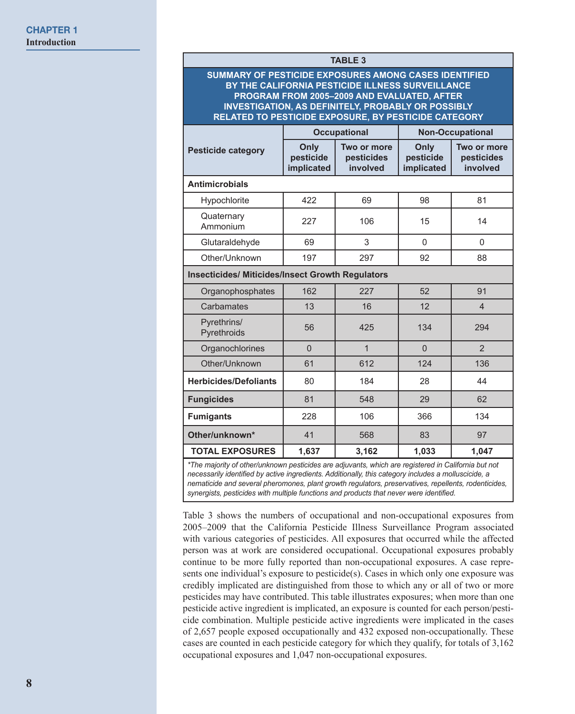|                                                                                                                                                                                                                                                                                      |                                 | <b>TABLE 3</b>                        |                                 |                                       |  |  |  |  |  |
|--------------------------------------------------------------------------------------------------------------------------------------------------------------------------------------------------------------------------------------------------------------------------------------|---------------------------------|---------------------------------------|---------------------------------|---------------------------------------|--|--|--|--|--|
| SUMMARY OF PESTICIDE EXPOSURES AMONG CASES IDENTIFIED<br>BY THE CALIFORNIA PESTICIDE ILLNESS SURVEILLANCE<br>PROGRAM FROM 2005-2009 AND EVALUATED, AFTER<br><b>INVESTIGATION, AS DEFINITELY, PROBABLY OR POSSIBLY</b><br><b>RELATED TO PESTICIDE EXPOSURE, BY PESTICIDE CATEGORY</b> |                                 |                                       |                                 |                                       |  |  |  |  |  |
|                                                                                                                                                                                                                                                                                      |                                 | <b>Occupational</b>                   | <b>Non-Occupational</b>         |                                       |  |  |  |  |  |
| <b>Pesticide category</b>                                                                                                                                                                                                                                                            | Only<br>pesticide<br>implicated | Two or more<br>pesticides<br>involved | Only<br>pesticide<br>implicated | Two or more<br>pesticides<br>involved |  |  |  |  |  |
| <b>Antimicrobials</b>                                                                                                                                                                                                                                                                |                                 |                                       |                                 |                                       |  |  |  |  |  |
| Hypochlorite                                                                                                                                                                                                                                                                         | 422                             | 69                                    | 98                              | 81                                    |  |  |  |  |  |
| Quaternary<br>Ammonium                                                                                                                                                                                                                                                               | 227                             | 106                                   | 15                              | 14                                    |  |  |  |  |  |
| Glutaraldehyde                                                                                                                                                                                                                                                                       | 69                              | 3                                     | $\Omega$                        | $\Omega$                              |  |  |  |  |  |
| Other/Unknown                                                                                                                                                                                                                                                                        | 197                             | 297                                   | 92                              | 88                                    |  |  |  |  |  |
| <b>Insecticides/ Miticides/Insect Growth Regulators</b>                                                                                                                                                                                                                              |                                 |                                       |                                 |                                       |  |  |  |  |  |
| Organophosphates                                                                                                                                                                                                                                                                     | 162                             | 227                                   | 52                              | 91                                    |  |  |  |  |  |
| Carbamates                                                                                                                                                                                                                                                                           | 13                              | 16                                    | 12                              | $\overline{4}$                        |  |  |  |  |  |
| Pyrethrins/<br>Pyrethroids                                                                                                                                                                                                                                                           | 56                              | 425                                   | 134                             | 294                                   |  |  |  |  |  |
| Organochlorines                                                                                                                                                                                                                                                                      | $\overline{0}$                  | $\mathbf{1}$                          | $\overline{0}$                  | $\overline{2}$                        |  |  |  |  |  |
| Other/Unknown                                                                                                                                                                                                                                                                        | 61                              | 612                                   | 124                             | 136                                   |  |  |  |  |  |
| <b>Herbicides/Defoliants</b>                                                                                                                                                                                                                                                         | 80                              | 184                                   | 28                              | 44                                    |  |  |  |  |  |
| <b>Fungicides</b>                                                                                                                                                                                                                                                                    | 81                              | 548                                   | 29                              | 62                                    |  |  |  |  |  |
| <b>Fumigants</b>                                                                                                                                                                                                                                                                     | 228                             | 106                                   | 366                             | 134                                   |  |  |  |  |  |
| Other/unknown*                                                                                                                                                                                                                                                                       | 41                              | 568                                   | 83                              | 97                                    |  |  |  |  |  |
| <b>TOTAL EXPOSURES</b>                                                                                                                                                                                                                                                               | 1,637                           | 3,162                                 | 1,033                           | 1,047                                 |  |  |  |  |  |

*necessarily identified by active ingredients. Additionally, this category includes a molluscicide, a nematicide and several pheromones, plant growth regulators, preservatives, repellents, rodenticides, synergists, pesticides with multiple functions and products that never were identified.*

Table 3 shows the numbers of occupational and non-occupational exposures from 2005–2009 that the California Pesticide Illness Surveillance Program associated with various categories of pesticides. All exposures that occurred while the affected person was at work are considered occupational. Occupational exposures probably continue to be more fully reported than non-occupational exposures. A case represents one individual's exposure to pesticide(s). Cases in which only one exposure was credibly implicated are distinguished from those to which any or all of two or more pesticides may have contributed. This table illustrates exposures; when more than one pesticide active ingredient is implicated, an exposure is counted for each person/pesticide combination. Multiple pesticide active ingredients were implicated in the cases of 2,657 people exposed occupationally and 432 exposed non-occupationally. These cases are counted in each pesticide category for which they qualify, for totals of 3,162 occupational exposures and 1,047 non-occupational exposures.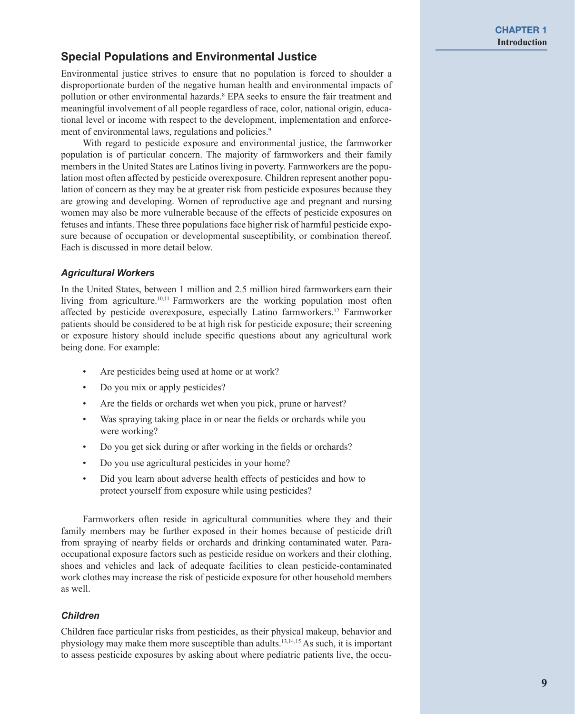### **Special Populations and Environmental Justice**

Environmental justice strives to ensure that no population is forced to shoulder a disproportionate burden of the negative human health and environmental impacts of pollution or other environmental hazards.<sup>8</sup> EPA seeks to ensure the fair treatment and meaningful involvement of all people regardless of race, color, national origin, educational level or income with respect to the development, implementation and enforcement of environmental laws, regulations and policies.<sup>9</sup>

With regard to pesticide exposure and environmental justice, the farmworker population is of particular concern. The majority of farmworkers and their family members in the United States are Latinos living in poverty. Farmworkers are the population most often affected by pesticide overexposure. Children represent another population of concern as they may be at greater risk from pesticide exposures because they are growing and developing. Women of reproductive age and pregnant and nursing women may also be more vulnerable because of the effects of pesticide exposures on fetuses and infants. These three populations face higher risk of harmful pesticide exposure because of occupation or developmental susceptibility, or combination thereof. Each is discussed in more detail below.

#### *Agricultural Workers*

In the United States, between 1 million and 2.5 million hired farmworkers earn their living from agriculture.<sup>10,11</sup> Farmworkers are the working population most often affected by pesticide overexposure, especially Latino farmworkers.<sup>12</sup> Farmworker patients should be considered to be at high risk for pesticide exposure; their screening or exposure history should include specific questions about any agricultural work being done. For example:

- Are pesticides being used at home or at work?
- Do you mix or apply pesticides?
- Are the fields or orchards wet when you pick, prune or harvest?
- Was spraying taking place in or near the fields or orchards while you were working?
- Do you get sick during or after working in the fields or orchards?
- Do you use agricultural pesticides in your home?
- Did you learn about adverse health effects of pesticides and how to protect yourself from exposure while using pesticides?

Farmworkers often reside in agricultural communities where they and their family members may be further exposed in their homes because of pesticide drift from spraying of nearby fields or orchards and drinking contaminated water. Paraoccupational exposure factors such as pesticide residue on workers and their clothing, shoes and vehicles and lack of adequate facilities to clean pesticide-contaminated work clothes may increase the risk of pesticide exposure for other household members as well.

#### *Children*

Children face particular risks from pesticides, as their physical makeup, behavior and physiology may make them more susceptible than adults.13,14,15 As such, it is important to assess pesticide exposures by asking about where pediatric patients live, the occu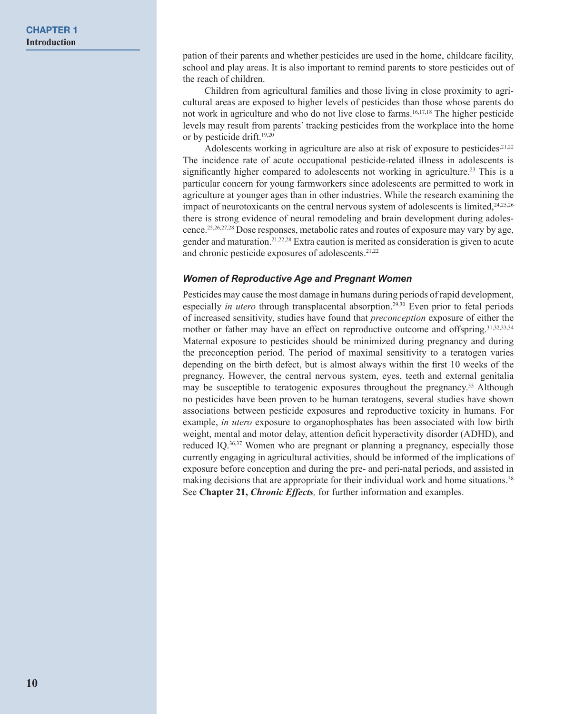pation of their parents and whether pesticides are used in the home, childcare facility, school and play areas. It is also important to remind parents to store pesticides out of the reach of children.

Children from agricultural families and those living in close proximity to agricultural areas are exposed to higher levels of pesticides than those whose parents do not work in agriculture and who do not live close to farms.16,17,18 The higher pesticide levels may result from parents' tracking pesticides from the workplace into the home or by pesticide drift.19,20

Adolescents working in agriculture are also at risk of exposure to pesticides.<sup>21,22</sup> The incidence rate of acute occupational pesticide-related illness in adolescents is significantly higher compared to adolescents not working in agriculture.23 This is a particular concern for young farmworkers since adolescents are permitted to work in agriculture at younger ages than in other industries. While the research examining the impact of neurotoxicants on the central nervous system of adolescents is limited, $24,25,26$ there is strong evidence of neural remodeling and brain development during adolescence.25,26,27,28 Dose responses, metabolic rates and routes of exposure may vary by age, gender and maturation.21,22,28 Extra caution is merited as consideration is given to acute and chronic pesticide exposures of adolescents.21,22

#### *Women of Reproductive Age and Pregnant Women*

Pesticides may cause the most damage in humans during periods of rapid development, especially *in utero* through transplacental absorption.<sup>29,30</sup> Even prior to fetal periods of increased sensitivity, studies have found that *preconception* exposure of either the mother or father may have an effect on reproductive outcome and offspring.<sup>31,32,33,34</sup> Maternal exposure to pesticides should be minimized during pregnancy and during the preconception period. The period of maximal sensitivity to a teratogen varies depending on the birth defect, but is almost always within the first 10 weeks of the pregnancy. However, the central nervous system, eyes, teeth and external genitalia may be susceptible to teratogenic exposures throughout the pregnancy.35 Although no pesticides have been proven to be human teratogens, several studies have shown associations between pesticide exposures and reproductive toxicity in humans. For example, *in utero* exposure to organophosphates has been associated with low birth weight, mental and motor delay, attention deficit hyperactivity disorder (ADHD), and reduced IQ.36,37 Women who are pregnant or planning a pregnancy, especially those currently engaging in agricultural activities, should be informed of the implications of exposure before conception and during the pre- and peri-natal periods, and assisted in making decisions that are appropriate for their individual work and home situations.<sup>38</sup> See **Chapter 21,** *Chronic Effects,* for further information and examples.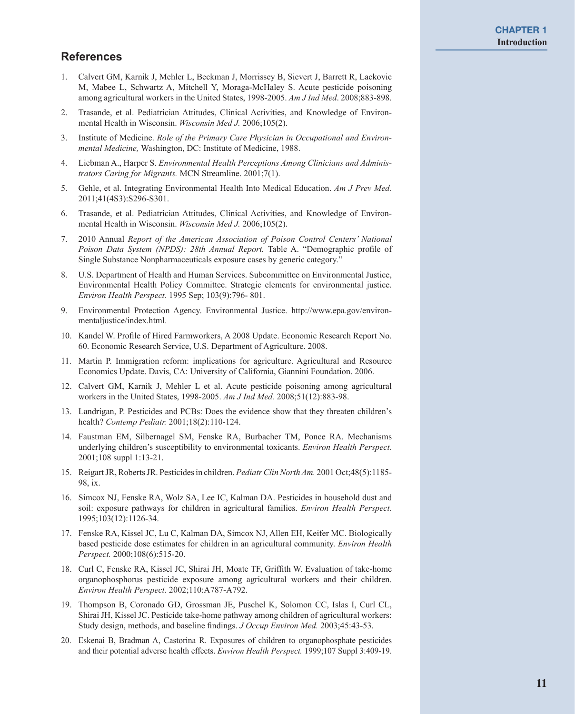### **References**

- 1. Calvert GM, Karnik J, Mehler L, Beckman J, Morrissey B, Sievert J, Barrett R, Lackovic M, Mabee L, Schwartz A, Mitchell Y, Moraga-McHaley S. Acute pesticide poisoning among agricultural workers in the United States, 1998-2005. *Am J Ind Med*. 2008;883-898.
- 2. Trasande, et al. Pediatrician Attitudes, Clinical Activities, and Knowledge of Environmental Health in Wisconsin. *Wisconsin Med J.* 2006;105(2).
- 3. Institute of Medicine. *Role of the Primary Care Physician in Occupational and Environmental Medicine,* Washington, DC: Institute of Medicine, 1988.
- 4. Liebman A., Harper S. *Environmental Health Perceptions Among Clinicians and Administrators Caring for Migrants.* MCN Streamline. 2001;7(1).
- 5. Gehle, et al. Integrating Environmental Health Into Medical Education. *Am J Prev Med.*  2011;41(4S3):S296-S301.
- 6. Trasande, et al. Pediatrician Attitudes, Clinical Activities, and Knowledge of Environmental Health in Wisconsin. *Wisconsin Med J.* 2006;105(2).
- 7. 2010 Annual *Report of the American Association of Poison Control Centers' National Poison Data System (NPDS): 28th Annual Report.* Table A. "Demographic profile of Single Substance Nonpharmaceuticals exposure cases by generic category."
- 8. U.S. Department of Health and Human Services. Subcommittee on Environmental Justice, Environmental Health Policy Committee. Strategic elements for environmental justice. *Environ Health Perspect*. 1995 Sep; 103(9):796- 801.
- 9. Environmental Protection Agency. Environmental Justice. http://www.epa.gov/environmentaljustice/index.html.
- 10. Kandel W. Profile of Hired Farmworkers, A 2008 Update. Economic Research Report No. 60. Economic Research Service, U.S. Department of Agriculture. 2008.
- 11. Martin P. Immigration reform: implications for agriculture. Agricultural and Resource Economics Update. Davis, CA: University of California, Giannini Foundation. 2006.
- 12. Calvert GM, Karnik J, Mehler L et al. Acute pesticide poisoning among agricultural workers in the United States, 1998-2005. *Am J Ind Med.* 2008;51(12):883-98.
- 13. Landrigan, P. Pesticides and PCBs: Does the evidence show that they threaten children's health? *Contemp Pediatr.* 2001;18(2):110-124.
- 14. Faustman EM, Silbernagel SM, Fenske RA, Burbacher TM, Ponce RA. Mechanisms underlying children's susceptibility to environmental toxicants. *Environ Health Perspect.*  2001;108 suppl 1:13-21.
- 15. Reigart JR, Roberts JR. Pesticides in children. *Pediatr Clin North Am.* 2001 Oct;48(5):1185- 98, ix.
- 16. Simcox NJ, Fenske RA, Wolz SA, Lee IC, Kalman DA. Pesticides in household dust and soil: exposure pathways for children in agricultural families. *Environ Health Perspect.*  1995;103(12):1126-34.
- 17. Fenske RA, Kissel JC, Lu C, Kalman DA, Simcox NJ, Allen EH, Keifer MC. Biologically based pesticide dose estimates for children in an agricultural community. *Environ Health Perspect.* 2000;108(6):515-20.
- 18. Curl C, Fenske RA, Kissel JC, Shirai JH, Moate TF, Griffith W. Evaluation of take-home organophosphorus pesticide exposure among agricultural workers and their children. *Environ Health Perspect*. 2002;110:A787-A792.
- 19. Thompson B, Coronado GD, Grossman JE, Puschel K, Solomon CC, Islas I, Curl CL, Shirai JH, Kissel JC. Pesticide take-home pathway among children of agricultural workers: Study design, methods, and baseline findings. *J Occup Environ Med.* 2003;45:43-53.
- 20. Eskenai B, Bradman A, Castorina R. Exposures of children to organophosphate pesticides and their potential adverse health effects. *Environ Health Perspect.* 1999;107 Suppl 3:409-19.